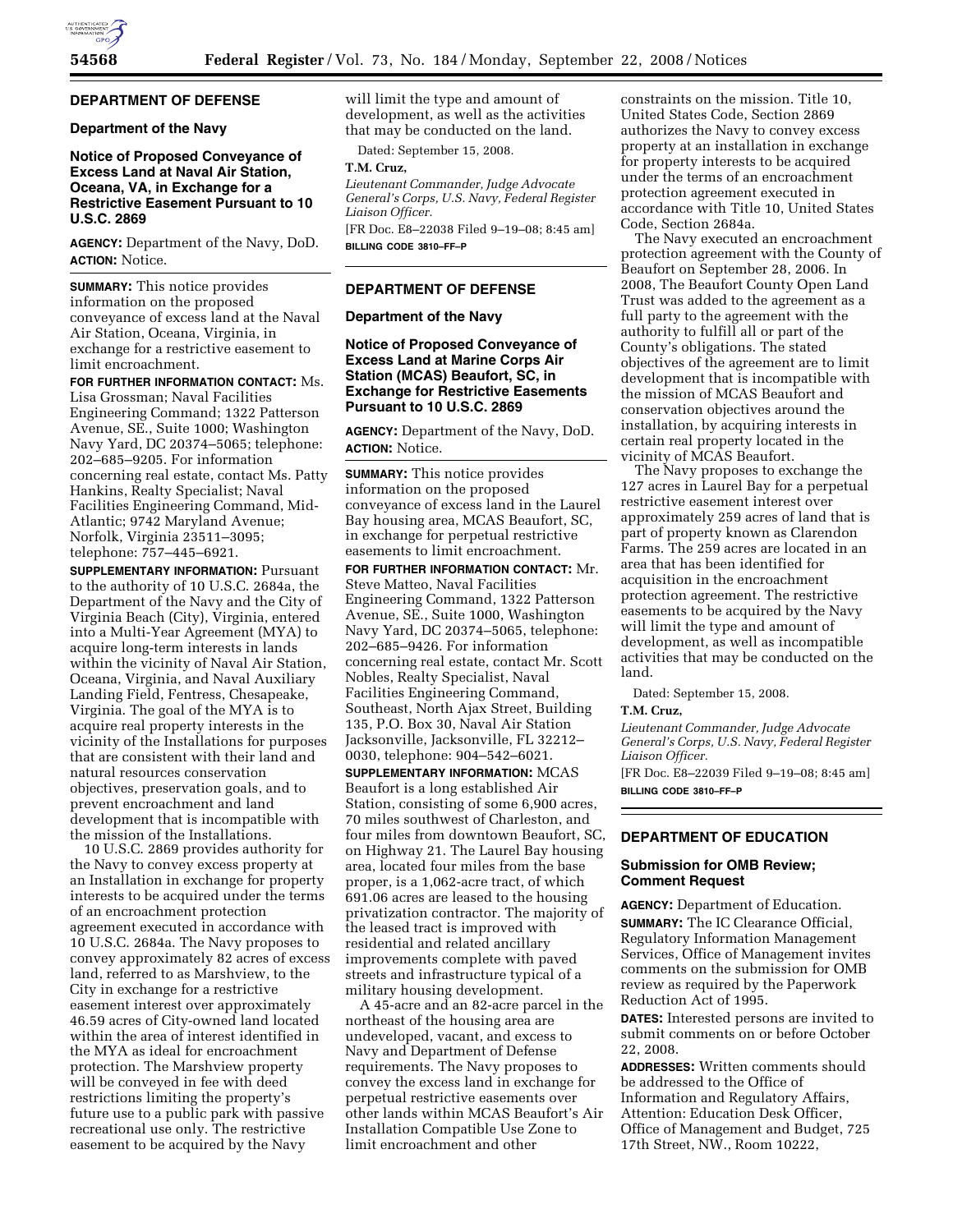

# **DEPARTMENT OF DEFENSE**

## **Department of the Navy**

# **Notice of Proposed Conveyance of Excess Land at Naval Air Station, Oceana, VA, in Exchange for a Restrictive Easement Pursuant to 10 U.S.C. 2869**

**AGENCY:** Department of the Navy, DoD. **ACTION:** Notice.

**SUMMARY:** This notice provides information on the proposed conveyance of excess land at the Naval Air Station, Oceana, Virginia, in exchange for a restrictive easement to limit encroachment.

**FOR FURTHER INFORMATION CONTACT:** Ms. Lisa Grossman; Naval Facilities Engineering Command; 1322 Patterson Avenue, SE., Suite 1000; Washington Navy Yard, DC 20374–5065; telephone: 202–685–9205. For information concerning real estate, contact Ms. Patty Hankins, Realty Specialist; Naval Facilities Engineering Command, Mid-Atlantic; 9742 Maryland Avenue; Norfolk, Virginia 23511–3095; telephone: 757–445–6921.

**SUPPLEMENTARY INFORMATION:** Pursuant to the authority of 10 U.S.C. 2684a, the Department of the Navy and the City of Virginia Beach (City), Virginia, entered into a Multi-Year Agreement (MYA) to acquire long-term interests in lands within the vicinity of Naval Air Station, Oceana, Virginia, and Naval Auxiliary Landing Field, Fentress, Chesapeake, Virginia. The goal of the MYA is to acquire real property interests in the vicinity of the Installations for purposes that are consistent with their land and natural resources conservation objectives, preservation goals, and to prevent encroachment and land development that is incompatible with the mission of the Installations.

10 U.S.C. 2869 provides authority for the Navy to convey excess property at an Installation in exchange for property interests to be acquired under the terms of an encroachment protection agreement executed in accordance with 10 U.S.C. 2684a. The Navy proposes to convey approximately 82 acres of excess land, referred to as Marshview, to the City in exchange for a restrictive easement interest over approximately 46.59 acres of City-owned land located within the area of interest identified in the MYA as ideal for encroachment protection. The Marshview property will be conveyed in fee with deed restrictions limiting the property's future use to a public park with passive recreational use only. The restrictive easement to be acquired by the Navy

will limit the type and amount of development, as well as the activities that may be conducted on the land.

Dated: September 15, 2008.

## **T.M. Cruz,**

*Lieutenant Commander, Judge Advocate General's Corps, U.S. Navy, Federal Register Liaison Officer.* 

[FR Doc. E8–22038 Filed 9–19–08; 8:45 am] **BILLING CODE 3810–FF–P** 

### **DEPARTMENT OF DEFENSE**

### **Department of the Navy**

**Notice of Proposed Conveyance of Excess Land at Marine Corps Air Station (MCAS) Beaufort, SC, in Exchange for Restrictive Easements Pursuant to 10 U.S.C. 2869** 

**AGENCY:** Department of the Navy, DoD. **ACTION:** Notice.

**SUMMARY:** This notice provides information on the proposed conveyance of excess land in the Laurel Bay housing area, MCAS Beaufort, SC, in exchange for perpetual restrictive easements to limit encroachment.

**FOR FURTHER INFORMATION CONTACT:** Mr. Steve Matteo, Naval Facilities Engineering Command, 1322 Patterson Avenue, SE., Suite 1000, Washington Navy Yard, DC 20374–5065, telephone: 202–685–9426. For information concerning real estate, contact Mr. Scott Nobles, Realty Specialist, Naval Facilities Engineering Command, Southeast, North Ajax Street, Building 135, P.O. Box 30, Naval Air Station Jacksonville, Jacksonville, FL 32212– 0030, telephone: 904–542–6021.

**SUPPLEMENTARY INFORMATION:** MCAS Beaufort is a long established Air Station, consisting of some 6,900 acres, 70 miles southwest of Charleston, and four miles from downtown Beaufort, SC, on Highway 21. The Laurel Bay housing area, located four miles from the base proper, is a 1,062-acre tract, of which 691.06 acres are leased to the housing privatization contractor. The majority of the leased tract is improved with residential and related ancillary improvements complete with paved streets and infrastructure typical of a military housing development.

A 45-acre and an 82-acre parcel in the northeast of the housing area are undeveloped, vacant, and excess to Navy and Department of Defense requirements. The Navy proposes to convey the excess land in exchange for perpetual restrictive easements over other lands within MCAS Beaufort's Air Installation Compatible Use Zone to limit encroachment and other

constraints on the mission. Title 10, United States Code, Section 2869 authorizes the Navy to convey excess property at an installation in exchange for property interests to be acquired under the terms of an encroachment protection agreement executed in accordance with Title 10, United States Code, Section 2684a.

The Navy executed an encroachment protection agreement with the County of Beaufort on September 28, 2006. In 2008, The Beaufort County Open Land Trust was added to the agreement as a full party to the agreement with the authority to fulfill all or part of the County's obligations. The stated objectives of the agreement are to limit development that is incompatible with the mission of MCAS Beaufort and conservation objectives around the installation, by acquiring interests in certain real property located in the vicinity of MCAS Beaufort.

The Navy proposes to exchange the 127 acres in Laurel Bay for a perpetual restrictive easement interest over approximately 259 acres of land that is part of property known as Clarendon Farms. The 259 acres are located in an area that has been identified for acquisition in the encroachment protection agreement. The restrictive easements to be acquired by the Navy will limit the type and amount of development, as well as incompatible activities that may be conducted on the land.

Dated: September 15, 2008.

#### **T.M. Cruz,**

*Lieutenant Commander, Judge Advocate General's Corps, U.S. Navy, Federal Register Liaison Officer.*  [FR Doc. E8–22039 Filed 9–19–08; 8:45 am]

**BILLING CODE 3810–FF–P** 

# **DEPARTMENT OF EDUCATION**

### **Submission for OMB Review; Comment Request**

**AGENCY:** Department of Education. **SUMMARY:** The IC Clearance Official, Regulatory Information Management Services, Office of Management invites comments on the submission for OMB review as required by the Paperwork Reduction Act of 1995.

**DATES:** Interested persons are invited to submit comments on or before October 22, 2008.

**ADDRESSES:** Written comments should be addressed to the Office of Information and Regulatory Affairs, Attention: Education Desk Officer, Office of Management and Budget, 725 17th Street, NW., Room 10222,